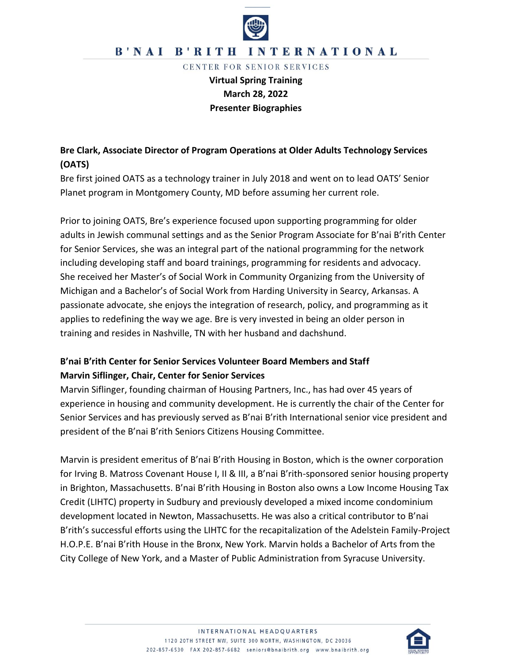

## B'NAI B'RITH INTERNATIONAL

CENTER FOR SENIOR SERVICES

**Virtual Spring Training March 28, 2022 Presenter Biographies**

# **Bre Clark, Associate Director of Program Operations at Older Adults Technology Services (OATS)**

Bre first joined OATS as a technology trainer in July 2018 and went on to lead OATS' Senior Planet program in Montgomery County, MD before assuming her current role.

Prior to joining OATS, Bre's experience focused upon supporting programming for older adults in Jewish communal settings and as the Senior Program Associate for B'nai B'rith Center for Senior Services, she was an integral part of the national programming for the network including developing staff and board trainings, programming for residents and advocacy. She received her Master's of Social Work in Community Organizing from the University of Michigan and a Bachelor's of Social Work from Harding University in Searcy, Arkansas. A passionate advocate, she enjoys the integration of research, policy, and programming as it applies to redefining the way we age. Bre is very invested in being an older person in training and resides in Nashville, TN with her husband and dachshund.

# **B'nai B'rith Center for Senior Services Volunteer Board Members and Staff Marvin Siflinger, Chair, Center for Senior Services**

Marvin Siflinger, founding chairman of Housing Partners, Inc., has had over 45 years of experience in housing and community development. He is currently the chair of the Center for Senior Services and has previously served as B'nai B'rith International senior vice president and president of the B'nai B'rith Seniors Citizens Housing Committee.

Marvin is president emeritus of B'nai B'rith Housing in Boston, which is the owner corporation for Irving B. Matross Covenant House I, II & III, a B'nai B'rith-sponsored senior housing property in Brighton, Massachusetts. B'nai B'rith Housing in Boston also owns a Low Income Housing Tax Credit (LIHTC) property in Sudbury and previously developed a mixed income condominium development located in Newton, Massachusetts. He was also a critical contributor to B'nai B'rith's successful efforts using the LIHTC for the recapitalization of the Adelstein Family-Project H.O.P.E. B'nai B'rith House in the Bronx, New York. Marvin holds a Bachelor of Arts from the City College of New York, and a Master of Public Administration from Syracuse University.

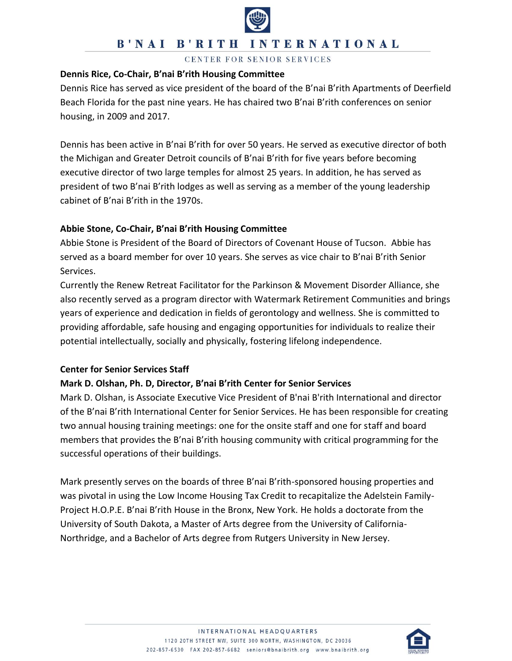

## **B'NAI B'RITH INTERNATIONAL**

CENTER FOR SENIOR SERVICES

#### **Dennis Rice, Co-Chair, B'nai B'rith Housing Committee**

Dennis Rice has served as vice president of the board of the B'nai B'rith Apartments of Deerfield Beach Florida for the past nine years. He has chaired two B'nai B'rith conferences on senior housing, in 2009 and 2017.

Dennis has been active in B'nai B'rith for over 50 years. He served as executive director of both the Michigan and Greater Detroit councils of B'nai B'rith for five years before becoming executive director of two large temples for almost 25 years. In addition, he has served as president of two B'nai B'rith lodges as well as serving as a member of the young leadership cabinet of B'nai B'rith in the 1970s.

### **Abbie Stone, Co-Chair, B'nai B'rith Housing Committee**

Abbie Stone is President of the Board of Directors of Covenant House of Tucson. Abbie has served as a board member for over 10 years. She serves as vice chair to B'nai B'rith Senior Services.

Currently the Renew Retreat Facilitator for the Parkinson & Movement Disorder Alliance, she also recently served as a program director with Watermark Retirement Communities and brings years of experience and dedication in fields of gerontology and wellness. She is committed to providing affordable, safe housing and engaging opportunities for individuals to realize their potential intellectually, socially and physically, fostering lifelong independence.

#### **Center for Senior Services Staff**

#### **Mark D. Olshan, Ph. D, Director, B'nai B'rith Center for Senior Services**

Mark D. Olshan, is Associate Executive Vice President of B'nai B'rith International and director of the B'nai B'rith International Center for Senior Services. He has been responsible for creating two annual housing training meetings: one for the onsite staff and one for staff and board members that provides the B'nai B'rith housing community with critical programming for the successful operations of their buildings.

Mark presently serves on the boards of three B'nai B'rith-sponsored housing properties and was pivotal in using the Low Income Housing Tax Credit to recapitalize the Adelstein Family-Project H.O.P.E. B'nai B'rith House in the Bronx, New York. He holds a doctorate from the University of South Dakota, a Master of Arts degree from the University of California-Northridge, and a Bachelor of Arts degree from Rutgers University in New Jersey.